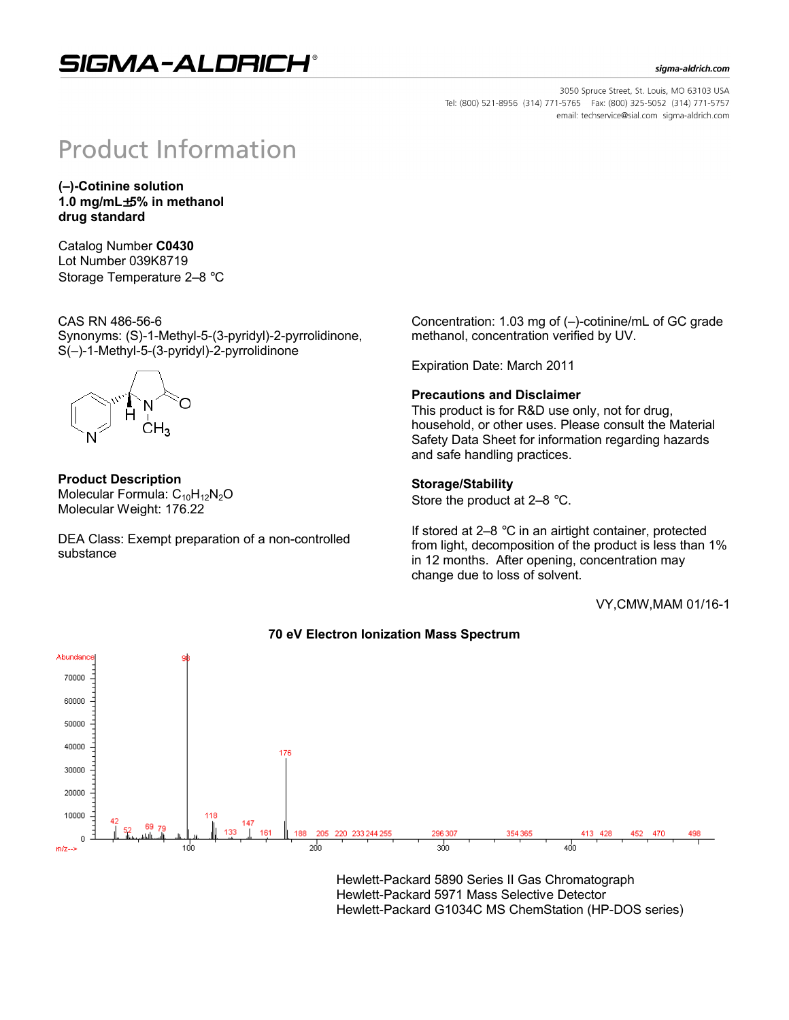## SIGMA-ALDRICH®

#### sigma-aldrich.com

3050 Spruce Street, St. Louis, MO 63103 USA Tel: (800) 521-8956 (314) 771-5765 Fax: (800) 325-5052 (314) 771-5757 email: techservice@sial.com sigma-aldrich.com

# **Product Information**

**(–)-Cotinine solution 1.0 mg/mL**±**5% in methanol drug standard**

Catalog Number **C0430** Lot Number 039K8719 Storage Temperature 2–8 °C

CAS RN 486-56-6 Synonyms: (S)-1-Methyl-5-(3-pyridyl)-2-pyrrolidinone, S(–)-1-Methyl-5-(3-pyridyl)-2-pyrrolidinone



**Product Description** Molecular Formula:  $C_{10}H_{12}N_2O$ Molecular Weight: 176.22

DEA Class: Exempt preparation of a non-controlled substance

Concentration: 1.03 mg of (–)-cotinine/mL of GC grade methanol, concentration verified by UV.

Expiration Date: March 2011

### **Precautions and Disclaimer**

This product is for R&D use only, not for drug, household, or other uses. Please consult the Material Safety Data Sheet for information regarding hazards and safe handling practices.

### **Storage/Stability**

Store the product at 2–8 °C.

If stored at 2–8 °C in an airtight container, protected from light, decomposition of the product is less than 1% in 12 months. After opening, concentration may change due to loss of solvent.

VY,CMW,MAM 01/16-1



**70 eV Electron Ionization Mass Spectrum**

Hewlett-Packard 5890 Series II Gas Chromatograph Hewlett-Packard 5971 Mass Selective Detector Hewlett-Packard G1034C MS ChemStation (HP-DOS series)